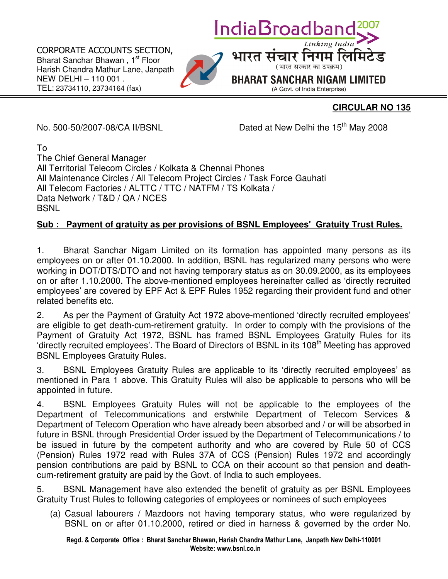CORPORATE ACCOUNTS SECTION, Bharat Sanchar Bhawan, 1<sup>st</sup> Floor Harish Chandra Mathur Lane, Janpath NEW DELHI – 110 001 . TEL: 23734110, 23734164 (fax)



## **CIRCULAR NO 135**

No. 500-50/2007-08/CA II/BSNL Dated at New Delhi the 15<sup>th</sup> May 2008

संचार निगम लि (भारत सरकार का उपक्रम) **BHARAT SANCHAR NIGAM LIMITED** (A Govt. of India Enterprise)

IndiaBroadba

To

l

The Chief General Manager All Territorial Telecom Circles / Kolkata & Chennai Phones All Maintenance Circles / All Telecom Project Circles / Task Force Gauhati All Telecom Factories / ALTTC / TTC / NATFM / TS Kolkata / Data Network / T&D / QA / NCES **BSNL** 

## **Sub : Payment of gratuity as per provisions of BSNL Employees' Gratuity Trust Rules.**

1. Bharat Sanchar Nigam Limited on its formation has appointed many persons as its employees on or after 01.10.2000. In addition, BSNL has regularized many persons who were working in DOT/DTS/DTO and not having temporary status as on 30.09.2000, as its employees on or after 1.10.2000. The above-mentioned employees hereinafter called as 'directly recruited employees' are covered by EPF Act & EPF Rules 1952 regarding their provident fund and other related benefits etc.

2. As per the Payment of Gratuity Act 1972 above-mentioned 'directly recruited employees' are eligible to get death-cum-retirement gratuity. In order to comply with the provisions of the Payment of Gratuity Act 1972, BSNL has framed BSNL Employees Gratuity Rules for its 'directly recruited employees'. The Board of Directors of BSNL in its 108<sup>th</sup> Meeting has approved BSNL Employees Gratuity Rules.

3. BSNL Employees Gratuity Rules are applicable to its 'directly recruited employees' as mentioned in Para 1 above. This Gratuity Rules will also be applicable to persons who will be appointed in future.

4. BSNL Employees Gratuity Rules will not be applicable to the employees of the Department of Telecommunications and erstwhile Department of Telecom Services & Department of Telecom Operation who have already been absorbed and / or will be absorbed in future in BSNL through Presidential Order issued by the Department of Telecommunications / to be issued in future by the competent authority and who are covered by Rule 50 of CCS (Pension) Rules 1972 read with Rules 37A of CCS (Pension) Rules 1972 and accordingly pension contributions are paid by BSNL to CCA on their account so that pension and deathcum-retirement gratuity are paid by the Govt. of India to such employees.

5. BSNL Management have also extended the benefit of gratuity as per BSNL Employees Gratuity Trust Rules to following categories of employees or nominees of such employees

(a) Casual labourers / Mazdoors not having temporary status, who were regularized by BSNL on or after 01.10.2000, retired or died in harness & governed by the order No.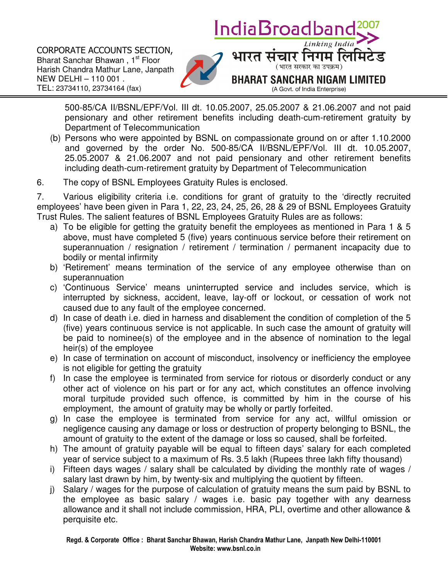IndiaBroadbai CORPORATE ACCOUNTS SECTION, संचार निगम लि Bharat Sanchar Bhawan, 1<sup>st</sup> Floor (भारत सरकार का उपक्रम) Harish Chandra Mathur Lane, Janpath NEW DELHI – 110 001 . **BHARAT SANCHAR NIGAM LIMITED** TEL: 23734110, 23734164 (fax) (A Govt. of India Enterprise)

500-85/CA II/BSNL/EPF/Vol. III dt. 10.05.2007, 25.05.2007 & 21.06.2007 and not paid pensionary and other retirement benefits including death-cum-retirement gratuity by Department of Telecommunication

- (b) Persons who were appointed by BSNL on compassionate ground on or after 1.10.2000 and governed by the order No. 500-85/CA II/BSNL/EPF/Vol. III dt. 10.05.2007, 25.05.2007 & 21.06.2007 and not paid pensionary and other retirement benefits including death-cum-retirement gratuity by Department of Telecommunication
- 6. The copy of BSNL Employees Gratuity Rules is enclosed.

l

7. Various eligibility criteria i.e. conditions for grant of gratuity to the 'directly recruited employees' have been given in Para 1, 22, 23, 24, 25, 26, 28 & 29 of BSNL Employees Gratuity Trust Rules. The salient features of BSNL Employees Gratuity Rules are as follows:

- a) To be eligible for getting the gratuity benefit the employees as mentioned in Para 1 & 5 above, must have completed 5 (five) years continuous service before their retirement on superannuation / resignation / retirement / termination / permanent incapacity due to bodily or mental infirmity
- b) 'Retirement' means termination of the service of any employee otherwise than on superannuation
- c) 'Continuous Service' means uninterrupted service and includes service, which is interrupted by sickness, accident, leave, lay-off or lockout, or cessation of work not caused due to any fault of the employee concerned.
- d) In case of death i.e. died in harness and disablement the condition of completion of the 5 (five) years continuous service is not applicable. In such case the amount of gratuity will be paid to nominee(s) of the employee and in the absence of nomination to the legal heir(s) of the employee
- e) In case of termination on account of misconduct, insolvency or inefficiency the employee is not eligible for getting the gratuity
- f) In case the employee is terminated from service for riotous or disorderly conduct or any other act of violence on his part or for any act, which constitutes an offence involving moral turpitude provided such offence, is committed by him in the course of his employment, the amount of gratuity may be wholly or partly forfeited.
- g) In case the employee is terminated from service for any act, willful omission or negligence causing any damage or loss or destruction of property belonging to BSNL, the amount of gratuity to the extent of the damage or loss so caused, shall be forfeited.
- h) The amount of gratuity payable will be equal to fifteen days' salary for each completed year of service subject to a maximum of Rs. 3.5 lakh (Rupees three lakh fifty thousand)
- i) Fifteen days wages / salary shall be calculated by dividing the monthly rate of wages / salary last drawn by him, by twenty-six and multiplying the quotient by fifteen.
- j) Salary / wages for the purpose of calculation of gratuity means the sum paid by BSNL to the employee as basic salary / wages i.e. basic pay together with any dearness allowance and it shall not include commission, HRA, PLI, overtime and other allowance & perquisite etc.